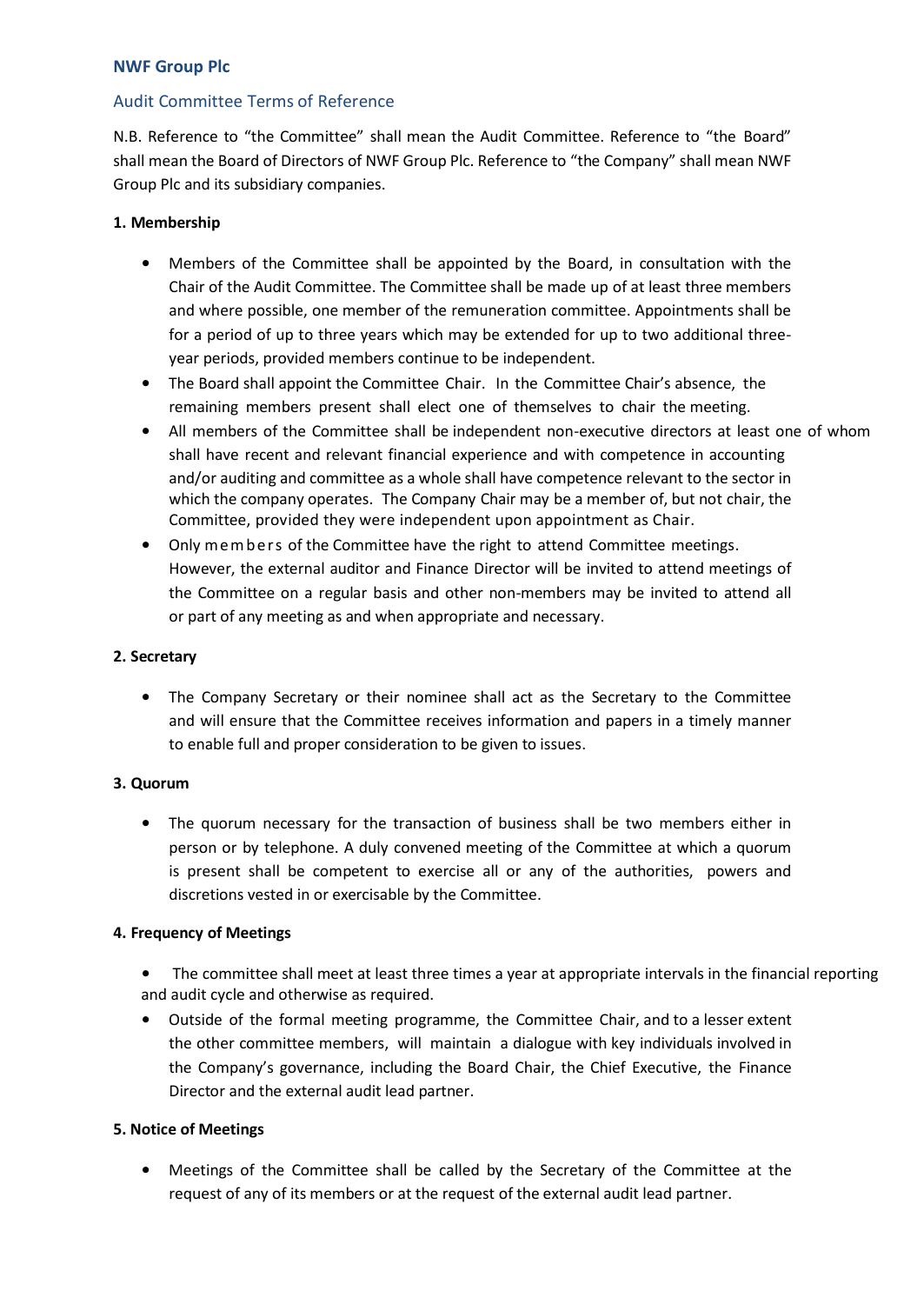## Audit Committee Terms of Reference

N.B. Reference to "the Committee" shall mean the Audit Committee. Reference to "the Board" shall mean the Board of Directors of NWF Group Plc. Reference to "the Company" shall mean NWF Group Plc and its subsidiary companies.

## **1. Membership**

- Members of the Committee shall be appointed by the Board, in consultation with the Chair of the Audit Committee. The Committee shall be made up of at least three members and where possible, one member of the remuneration committee. Appointments shall be for a period of up to three years which may be extended for up to two additional threeyear periods, provided members continue to be independent.
- The Board shall appoint the Committee Chair. In the Committee Chair's absence, the remaining members present shall elect one of themselves to chair the meeting.
- All members of the Committee shall be independent non-executive directors at least one of whom shall have recent and relevant financial experience and with competence in accounting and/or auditing and committee as a whole shall have competence relevant to the sector in which the company operates. The Company Chair may be a member of, but not chair, the Committee, provided they were independent upon appointment as Chair.
- Only members of the Committee have the right to attend Committee meetings. However, the external auditor and Finance Director will be invited to attend meetings of the Committee on a regular basis and other non-members may be invited to attend all or part of any meeting as and when appropriate and necessary.

### **2. Secretary**

• The Company Secretary or their nominee shall act as the Secretary to the Committee and will ensure that the Committee receives information and papers in a timely manner to enable full and proper consideration to be given to issues.

## **3. Quorum**

• The quorum necessary for the transaction of business shall be two members either in person or by telephone. A duly convened meeting of the Committee at which a quorum is present shall be competent to exercise all or any of the authorities, powers and discretions vested in or exercisable by the Committee.

## **4. Frequency of Meetings**

- The committee shall meet at least three times a year at appropriate intervals in the financial reporting and audit cycle and otherwise as required.
- Outside of the formal meeting programme, the Committee Chair, and to a lesser extent the other committee members, will maintain a dialogue with key individuals involved in the Company's governance, including the Board Chair, the Chief Executive, the Finance Director and the external audit lead partner.

#### **5. Notice of Meetings**

• Meetings of the Committee shall be called by the Secretary of the Committee at the request of any of its members or at the request of the external audit lead partner.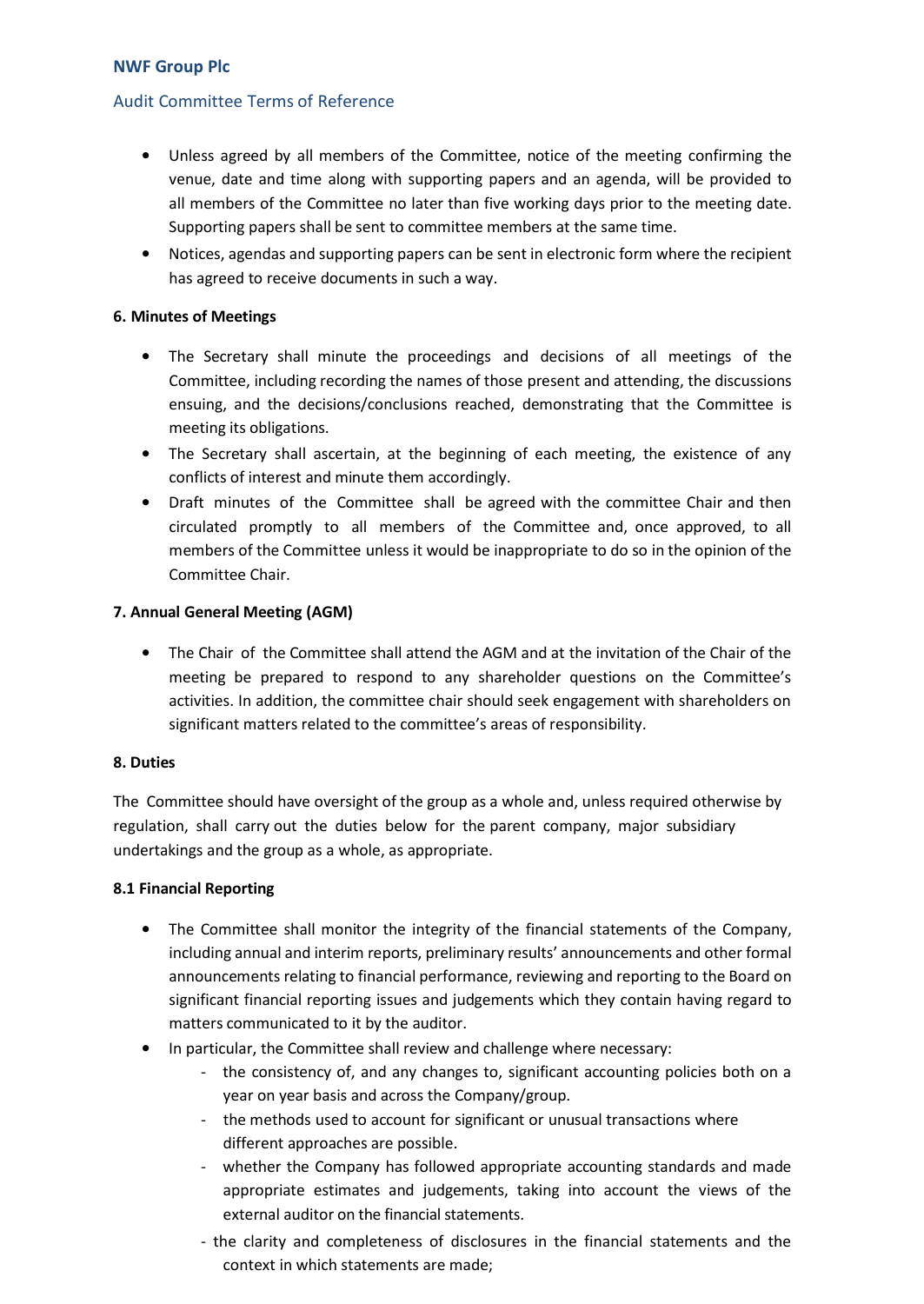## Audit Committee Terms of Reference

- Unless agreed by all members of the Committee, notice of the meeting confirming the venue, date and time along with supporting papers and an agenda, will be provided to all members of the Committee no later than five working days prior to the meeting date. Supporting papers shall be sent to committee members at the same time.
- Notices, agendas and supporting papers can be sent in electronic form where the recipient has agreed to receive documents in such a way.

### **6. Minutes of Meetings**

- The Secretary shall minute the proceedings and decisions of all meetings of the Committee, including recording the names of those present and attending, the discussions ensuing, and the decisions/conclusions reached, demonstrating that the Committee is meeting its obligations.
- The Secretary shall ascertain, at the beginning of each meeting, the existence of any conflicts of interest and minute them accordingly.
- Draft minutes of the Committee shall be agreed with the committee Chair and then circulated promptly to all members of the Committee and, once approved, to all members of the Committee unless it would be inappropriate to do so in the opinion of the Committee Chair.

### **7. Annual General Meeting (AGM)**

• The Chair of the Committee shall attend the AGM and at the invitation of the Chair of the meeting be prepared to respond to any shareholder questions on the Committee's activities. In addition, the committee chair should seek engagement with shareholders on significant matters related to the committee's areas of responsibility.

### **8. Duties**

The Committee should have oversight of the group as a whole and, unless required otherwise by regulation, shall carry out the duties below for the parent company, major subsidiary undertakings and the group as a whole, as appropriate.

#### **8.1 Financial Reporting**

- The Committee shall monitor the integrity of the financial statements of the Company, including annual and interim reports, preliminary results' announcements and other formal announcements relating to financial performance, reviewing and reporting to the Board on significant financial reporting issues and judgements which they contain having regard to matters communicated to it by the auditor.
- In particular, the Committee shall review and challenge where necessary:
	- the consistency of, and any changes to, significant accounting policies both on a year on year basis and across the Company/group.
	- the methods used to account for significant or unusual transactions where different approaches are possible.
	- whether the Company has followed appropriate accounting standards and made appropriate estimates and judgements, taking into account the views of the external auditor on the financial statements.
	- the clarity and completeness of disclosures in the financial statements and the context in which statements are made;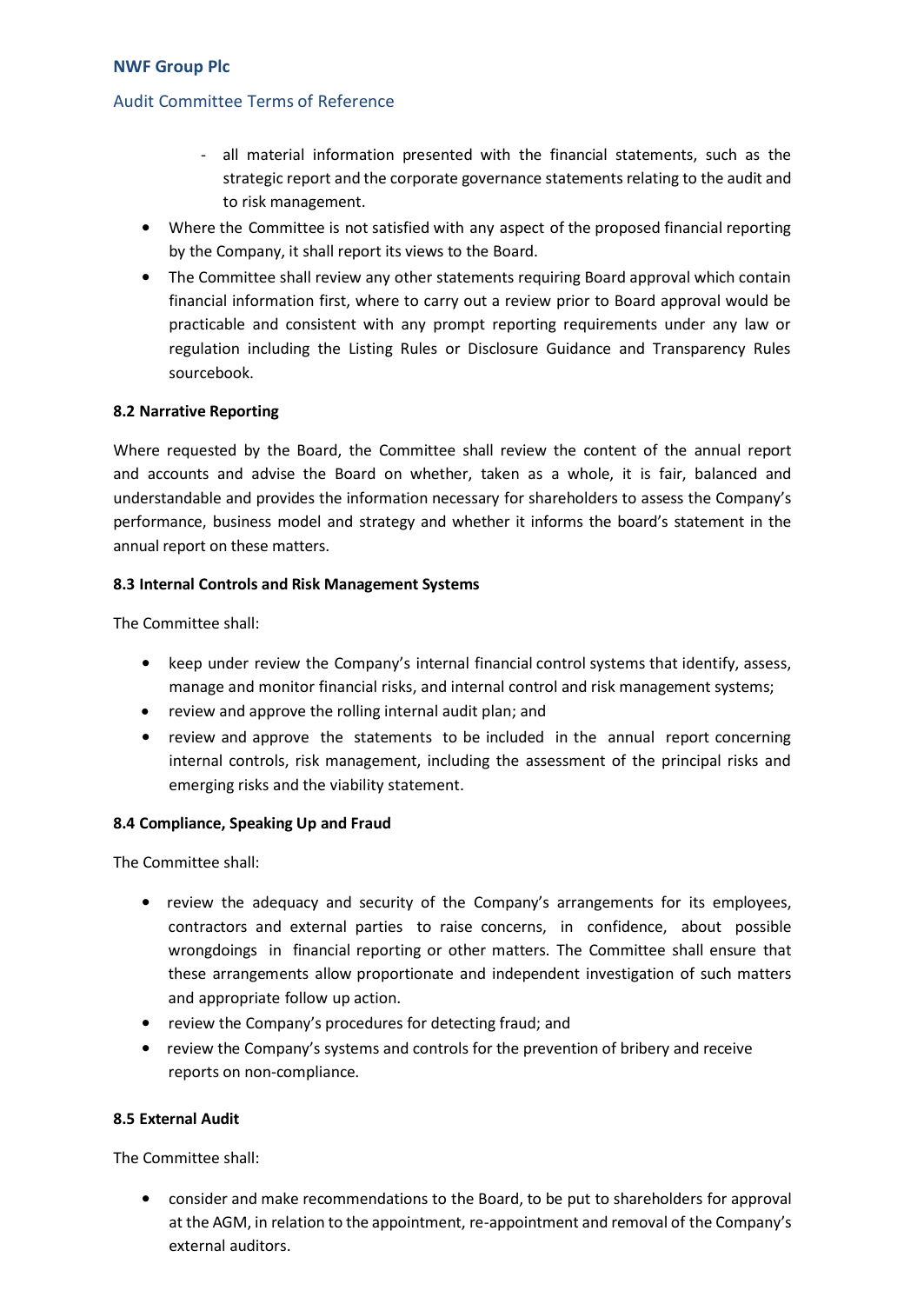### Audit Committee Terms of Reference

- all material information presented with the financial statements, such as the strategic report and the corporate governance statements relating to the audit and to risk management.
- Where the Committee is not satisfied with any aspect of the proposed financial reporting by the Company, it shall report its views to the Board.
- The Committee shall review any other statements requiring Board approval which contain financial information first, where to carry out a review prior to Board approval would be practicable and consistent with any prompt reporting requirements under any law or regulation including the Listing Rules or Disclosure Guidance and Transparency Rules sourcebook.

#### **8.2 Narrative Reporting**

Where requested by the Board, the Committee shall review the content of the annual report and accounts and advise the Board on whether, taken as a whole, it is fair, balanced and understandable and provides the information necessary for shareholders to assess the Company's performance, business model and strategy and whether it informs the board's statement in the annual report on these matters.

#### **8.3 Internal Controls and Risk Management Systems**

The Committee shall:

- keep under review the Company's internal financial control systems that identify, assess, manage and monitor financial risks, and internal control and risk management systems;
- review and approve the rolling internal audit plan; and
- review and approve the statements to be included in the annual report concerning internal controls, risk management, including the assessment of the principal risks and emerging risks and the viability statement.

#### **8.4 Compliance, Speaking Up and Fraud**

The Committee shall:

- review the adequacy and security of the Company's arrangements for its employees, contractors and external parties to raise concerns, in confidence, about possible wrongdoings in financial reporting or other matters. The Committee shall ensure that these arrangements allow proportionate and independent investigation of such matters and appropriate follow up action.
- review the Company's procedures for detecting fraud; and
- review the Company's systems and controls for the prevention of bribery and receive reports on non-compliance.

#### **8.5 External Audit**

The Committee shall:

• consider and make recommendations to the Board, to be put to shareholders for approval at the AGM, in relation to the appointment, re-appointment and removal of the Company's external auditors.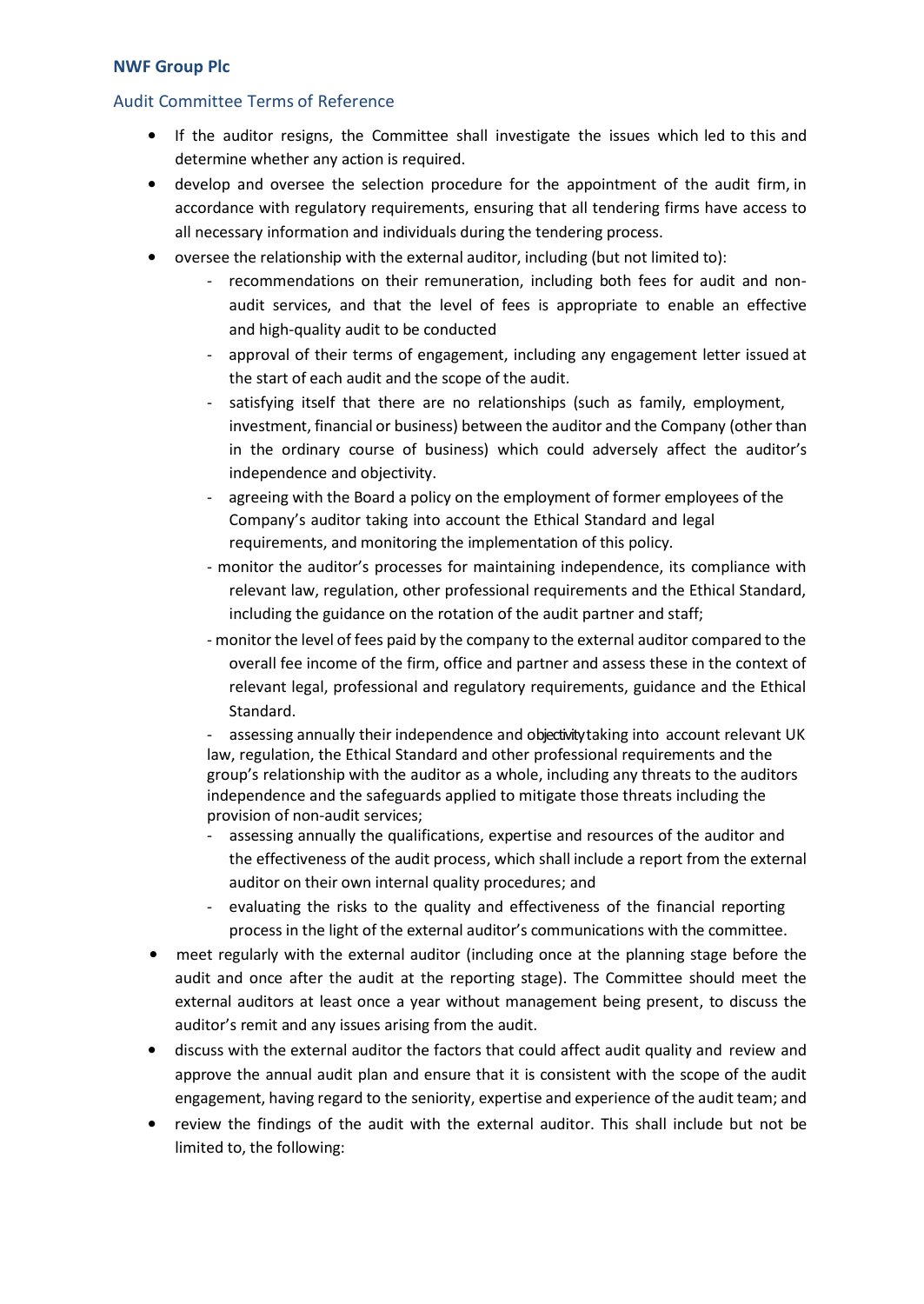### Audit Committee Terms of Reference

- If the auditor resigns, the Committee shall investigate the issues which led to this and determine whether any action is required.
- develop and oversee the selection procedure for the appointment of the audit firm, in accordance with regulatory requirements, ensuring that all tendering firms have access to all necessary information and individuals during the tendering process.
- oversee the relationship with the external auditor, including (but not limited to):
	- recommendations on their remuneration, including both fees for audit and nonaudit services, and that the level of fees is appropriate to enable an effective and high-quality audit to be conducted
	- approval of their terms of engagement, including any engagement letter issued at the start of each audit and the scope of the audit.
	- satisfying itself that there are no relationships (such as family, employment, investment, financial or business) between the auditor and the Company (other than in the ordinary course of business) which could adversely affect the auditor's independence and objectivity.
	- agreeing with the Board a policy on the employment of former employees of the Company's auditor taking into account the Ethical Standard and legal requirements, and monitoring the implementation of this policy.
	- monitor the auditor's processes for maintaining independence, its compliance with relevant law, regulation, other professional requirements and the Ethical Standard, including the guidance on the rotation of the audit partner and staff;
	- monitor the level of fees paid by the company to the external auditor compared to the overall fee income of the firm, office and partner and assess these in the context of relevant legal, professional and regulatory requirements, guidance and the Ethical Standard.

assessing annually their independence and objectivity taking into account relevant UK law, regulation, the Ethical Standard and other professional requirements and the group's relationship with the auditor as a whole, including any threats to the auditors independence and the safeguards applied to mitigate those threats including the provision of non-audit services;

- assessing annually the qualifications, expertise and resources of the auditor and the effectiveness of the audit process, which shall include a report from the external auditor on their own internal quality procedures; and
- evaluating the risks to the quality and effectiveness of the financial reporting process in the light of the external auditor's communications with the committee.
- meet regularly with the external auditor (including once at the planning stage before the audit and once after the audit at the reporting stage). The Committee should meet the external auditors at least once a year without management being present, to discuss the auditor's remit and any issues arising from the audit.
- discuss with the external auditor the factors that could affect audit quality and review and approve the annual audit plan and ensure that it is consistent with the scope of the audit engagement, having regard to the seniority, expertise and experience of the audit team; and
- review the findings of the audit with the external auditor. This shall include but not be limited to, the following: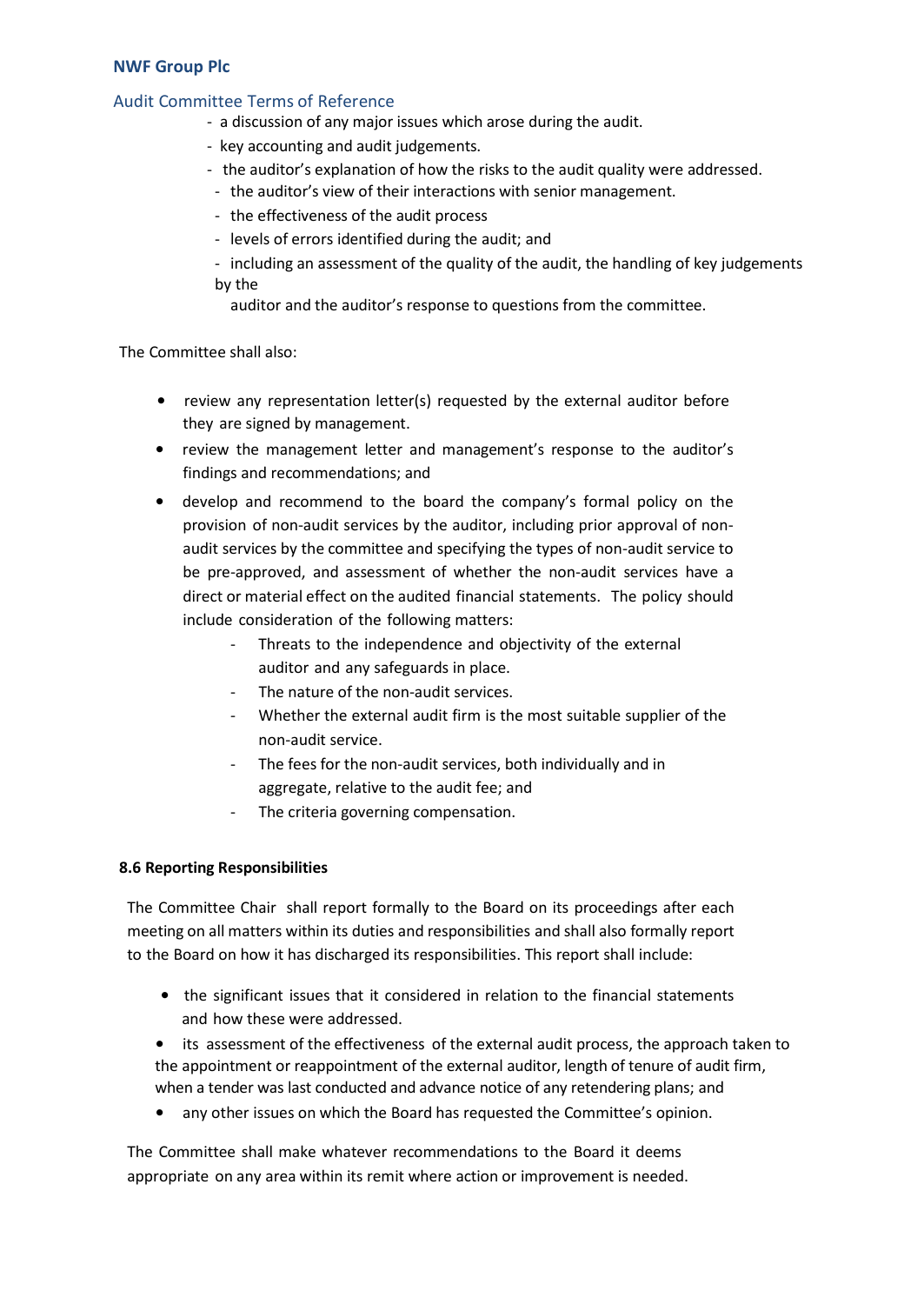### Audit Committee Terms of Reference

- a discussion of any major issues which arose during the audit.
- key accounting and audit judgements.
- the auditor's explanation of how the risks to the audit quality were addressed.
- the auditor's view of their interactions with senior management.
- the effectiveness of the audit process
- levels of errors identified during the audit; and
- including an assessment of the quality of the audit, the handling of key judgements by the

auditor and the auditor's response to questions from the committee.

The Committee shall also:

- review any representation letter(s) requested by the external auditor before they are signed by management.
- review the management letter and management's response to the auditor's findings and recommendations; and
- develop and recommend to the board the company's formal policy on the provision of non-audit services by the auditor, including prior approval of nonaudit services by the committee and specifying the types of non-audit service to be pre-approved, and assessment of whether the non-audit services have a direct or material effect on the audited financial statements. The policy should include consideration of the following matters:
	- Threats to the independence and objectivity of the external auditor and any safeguards in place.
	- The nature of the non-audit services.
	- Whether the external audit firm is the most suitable supplier of the non-audit service.
	- The fees for the non-audit services, both individually and in aggregate, relative to the audit fee; and
	- The criteria governing compensation.

#### **8.6 Reporting Responsibilities**

The Committee Chair shall report formally to the Board on its proceedings after each meeting on all matters within its duties and responsibilities and shall also formally report to the Board on how it has discharged its responsibilities. This report shall include:

- the significant issues that it considered in relation to the financial statements and how these were addressed.
- its assessment of the effectiveness of the external audit process, the approach taken to the appointment or reappointment of the external auditor, length of tenure of audit firm, when a tender was last conducted and advance notice of any retendering plans; and
- any other issues on which the Board has requested the Committee's opinion.

The Committee shall make whatever recommendations to the Board it deems appropriate on any area within its remit where action or improvement is needed.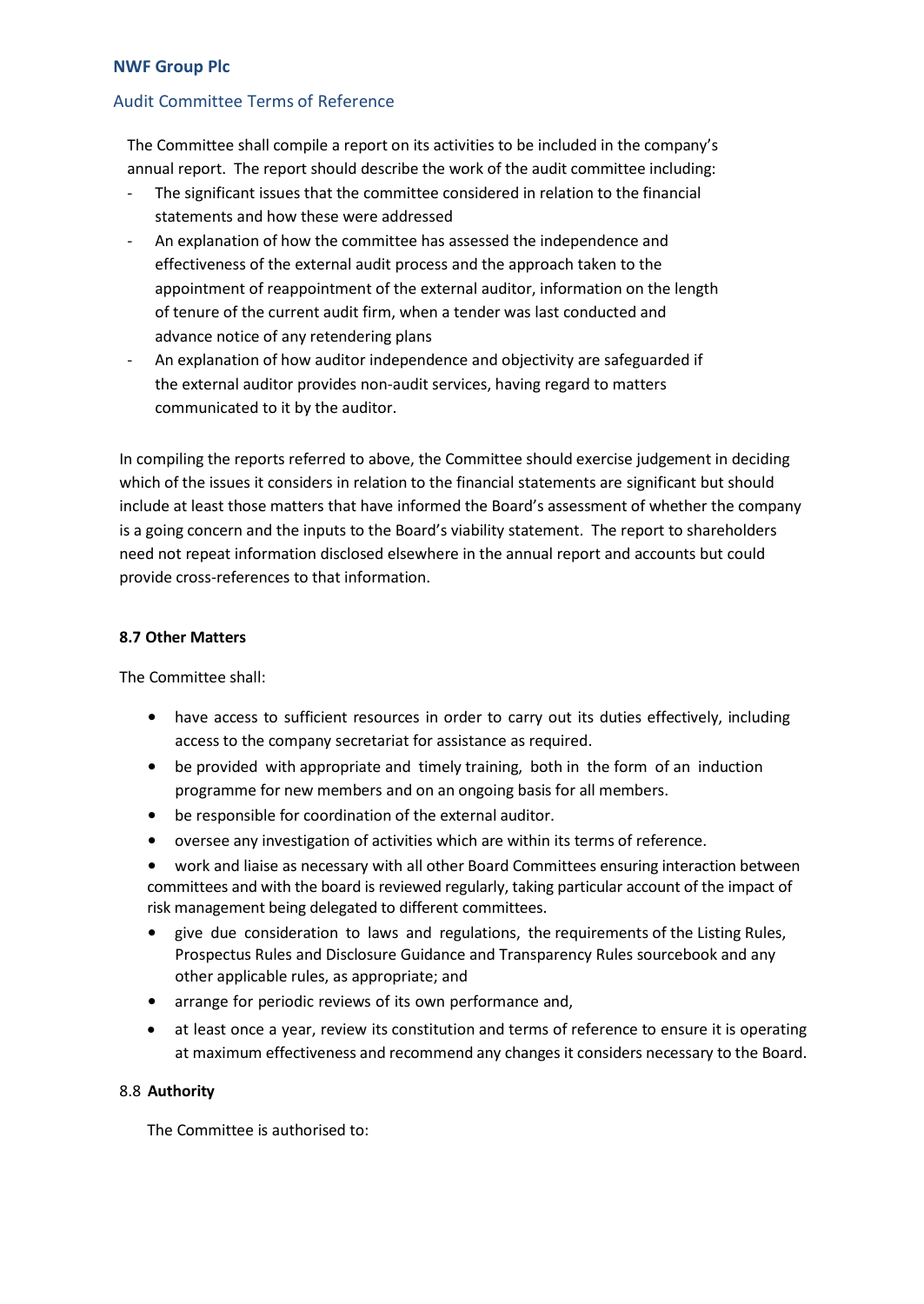# Audit Committee Terms of Reference

The Committee shall compile a report on its activities to be included in the company's annual report. The report should describe the work of the audit committee including:

- The significant issues that the committee considered in relation to the financial statements and how these were addressed
- An explanation of how the committee has assessed the independence and effectiveness of the external audit process and the approach taken to the appointment of reappointment of the external auditor, information on the length of tenure of the current audit firm, when a tender was last conducted and advance notice of any retendering plans
- An explanation of how auditor independence and objectivity are safeguarded if the external auditor provides non-audit services, having regard to matters communicated to it by the auditor.

In compiling the reports referred to above, the Committee should exercise judgement in deciding which of the issues it considers in relation to the financial statements are significant but should include at least those matters that have informed the Board's assessment of whether the company is a going concern and the inputs to the Board's viability statement. The report to shareholders need not repeat information disclosed elsewhere in the annual report and accounts but could provide cross-references to that information.

#### **8.7 Other Matters**

The Committee shall:

- have access to sufficient resources in order to carry out its duties effectively, including access to the company secretariat for assistance as required.
- be provided with appropriate and timely training, both in the form of an induction programme for new members and on an ongoing basis for all members.
- be responsible for coordination of the external auditor.
- oversee any investigation of activities which are within its terms of reference.
- work and liaise as necessary with all other Board Committees ensuring interaction between committees and with the board is reviewed regularly, taking particular account of the impact of risk management being delegated to different committees.
- give due consideration to laws and regulations, the requirements of the Listing Rules, Prospectus Rules and Disclosure Guidance and Transparency Rules sourcebook and any other applicable rules, as appropriate; and
- arrange for periodic reviews of its own performance and,
- at least once a year, review its constitution and terms of reference to ensure it is operating at maximum effectiveness and recommend any changes it considers necessary to the Board.

#### 8.8 **Authority**

The Committee is authorised to: